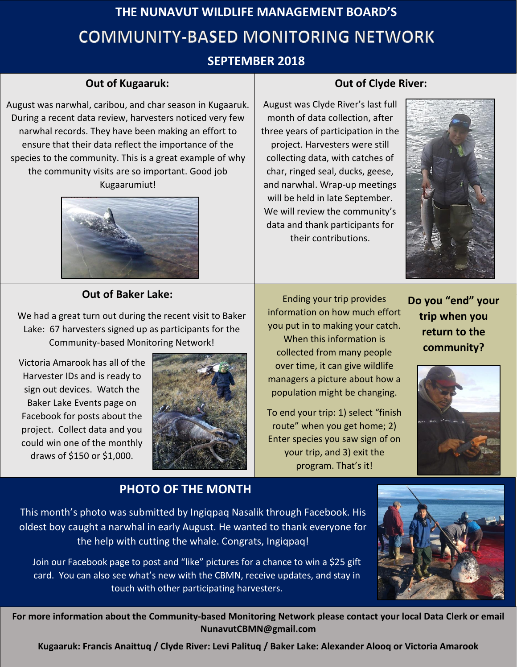# **THE NUNAVUT WILDLIFE MANAGEMENT BOARD'S COMMUNITY-BASED MONITORING NETWORK**

# **SEPTEMBER 2018**

### **Out of Kugaaruk:**

During a recent data review, harvesters noticed very few August was narwhal, caribou, and char season in Kugaaruk. narwhal records. They have been making an effort to ensure that their data reflect the importance of the species to the community. This is a great example of why the community visits are so important. Good job Kugaarumiut!



#### **Out of Baker Lake:**

We had a great turn out during the recent visit to Baker Lake: 67 harvesters signed up as participants for the Community-based Monitoring Network!

Victoria Amarook has all of the Harvester IDs and is ready to sign out devices. Watch the Baker Lake Events page on Facebook for posts about the project. Collect data and you could win one of the monthly draws of \$150 or \$1,000.



**PHOTO OF THE MONTH**

Ending your trip provides information on how much effort you put in to making your catch.

When this information is collected from many people over time, it can give wildlife managers a picture about how a population might be changing.

To end your trip: 1) select "finish route" when you get home; 2) Enter species you saw sign of on your trip, and 3) exit the program. That's it!

**Do you "end" your trip when you return to the community?** 



This month's photo was submitted by Ingiqpaq Nasalik through Facebook. His oldest boy caught a narwhal in early August. He wanted to thank everyone for the help with cutting the whale. Congrats, Ingiqpaq!

Join our Facebook page to post and "like" pictures for a chance to win a \$25 gift card. You can also see what's new with the CBMN, receive updates, and stay in touch with other participating harvesters.



**For more information about the Community-based Monitoring Network please contact your local Data Clerk or email NunavutCBMN@gmail.com** 

**Kugaaruk: Francis Anaittuq / Clyde River: Levi Palituq / Baker Lake: Alexander Alooq or Victoria Amarook**

#### **Out of Clyde River:**

August was Clyde River's last full month of data collection, after three years of participation in the project. Harvesters were still collecting data, with catches of char, ringed seal, ducks, geese, and narwhal. Wrap-up meetings will be held in late September. We will review the community's data and thank participants for their contributions.